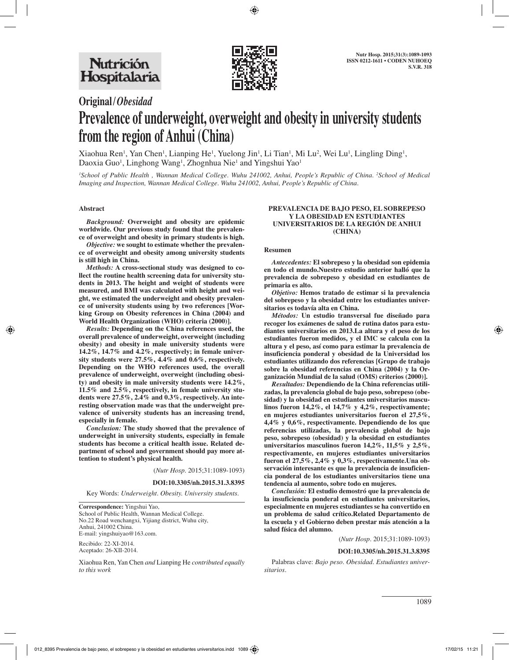

# **Original/***Obesidad*

# **Prevalence of underweight, overweight and obesity in university students from the region of Anhui (China)**

Xiaohua Ren<sup>1</sup>, Yan Chen<sup>1</sup>, Lianping He<sup>1</sup>, Yuelong Jin<sup>1</sup>, Li Tian<sup>1</sup>, Mi Lu<sup>2</sup>, Wei Lu<sup>1</sup>, Lingling Ding<sup>1</sup>, Daoxia Guo<sup>1</sup>, Linghong Wang<sup>1</sup>, Zhognhua Nie<sup>1</sup> and Yingshui Yao<sup>1</sup>

*1 School of Public Health , Wannan Medical College. Wuhu 241002, Anhui, People's Republic of China. 2 School of Medical Imaging and Inspection, Wannan Medical College. Wuhu 241002, Anhui, People's Republic of China.*

# **Abstract**

*Background:* **Overweight and obesity are epidemic worldwide. Our previous study found that the prevalence of overweight and obesity in primary students is high.**

*Objective:* **we sought to estimate whether the prevalence of overweight and obesity among university students is still high in China.**

*Methods:* **A cross-sectional study was designed to collect the routine health screening data for university students in 2013. The height and weight of students were measured, and BMI was calculated with height and weight, we estimated the underweight and obesity prevalence of university students using by two references [Working Group on Obesity references in China (2004) and World Health Organization (WHO) criteria (2000)].**

*Results:* **Depending on the China references used, the overall prevalence of underweight, overweight (including obesity) and obesity in male university students were 14.2%, 14.7% and 4.2%, respectively; in female university students were 27.5%, 4.4% and 0.6%, respectively. Depending on the WHO references used, the overall prevalence of underweight, overweight (including obesity) and obesity in male university students were 14.2%, 11.5% and 2.5%, respectively, in female university students were 27.5%, 2.4% and 0.3%, respectively. An interesting observation made was that the underweight prevalence of university students has an increasing trend, especially in female.**

*Conclusion:* **The study showed that the prevalence of underweight in university students, especially in female students has become a critical health issue. Related department of school and government should pay more attention to student's physical health.** 

(*Nutr Hosp.* 2015;31:1089-1093)

**DOI:10.3305/nh.2015.31.3.8395**

Key Words: *Underweight. Obesity. University students.*

**Correspondence:** Yingshui Yao, School of Public Health, Wannan Medical College. No.22 Road wenchangxi, Yijiang district, Wuhu city, Anhui, 241002 China. E-mail: yingshuiyao@163.com.

Recibido: 22-XI-2014. Aceptado: 26-XII-2014.

Xiaohua Ren, Yan Chen *and* Lianping He *contributed equally to this work*

#### **PREVALENCIA DE BAJO PESO, EL SOBREPESO Y LA OBESIDAD EN ESTUDIANTES UNIVERSITARIOS DE LA REGIÓN DE ANHUI (CHINA)**

#### **Resumen**

*Antecedentes:* **El sobrepeso y la obesidad son epidemia en todo el mundo.Nuestro estudio anterior halló que la prevalencia de sobrepeso y obesidad en estudiantes de primaria es alto.**

*Objetivo:* **Hemos tratado de estimar si la prevalencia del sobrepeso y la obesidad entre los estudiantes universitarios es todavía alta en China.**

*Métodos:* **Un estudio transversal fue diseñado para recoger los exámenes de salud de rutina datos para estudiantes universitarios en 2013.La altura y el peso de los estudiantes fueron medidos, y el IMC se calcula con la altura y el peso, así como para estimar la prevalencia de insuficiencia ponderal y obesidad de la Universidad los estudiantes utilizando dos referencias [Grupo de trabajo sobre la obesidad referencias en China (2004) y la Organización Mundial de la salud (OMS) criterios (2000)].**

*Resultados:* **Dependiendo de la China referencias utilizadas, la prevalencia global de bajo peso, sobrepeso (obesidad) y la obesidad en estudiantes universitarios masculinos fueron 14,2%, el 14,7% y 4,2%, respectivamente; en mujeres estudiantes universitarios fueron el 27,5%, 4,4% y 0,6%, respectivamente. Dependiendo de los que referencias utilizadas, la prevalencia global de bajo peso, sobrepeso (obesidad) y la obesidad en estudiantes universitarios masculinos fueron 14,2%, 11,5% y 2,5%, respectivamente, en mujeres estudiantes universitarios fueron el 27,5%, 2,4% y 0,3%, respectivamente.Una observación interesante es que la prevalencia de insuficiencia ponderal de los estudiantes universitarios tiene una tendencia al aumento, sobre todo en mujeres.**

*Conclusión:* **El estudio demostró que la prevalencia de la insuficiencia ponderal en estudiantes universitarios, especialmente en mujeres estudiantes se ha convertido en un problema de salud crítico.Related Departamento de la escuela y el Gobierno deben prestar más atención a la salud física del alumno.**

(*Nutr Hosp.* 2015;31:1089-1093)

#### **DOI:10.3305/nh.2015.31.3.8395**

Palabras clave: *Bajo peso. Obesidad. Estudiantes universitarios.*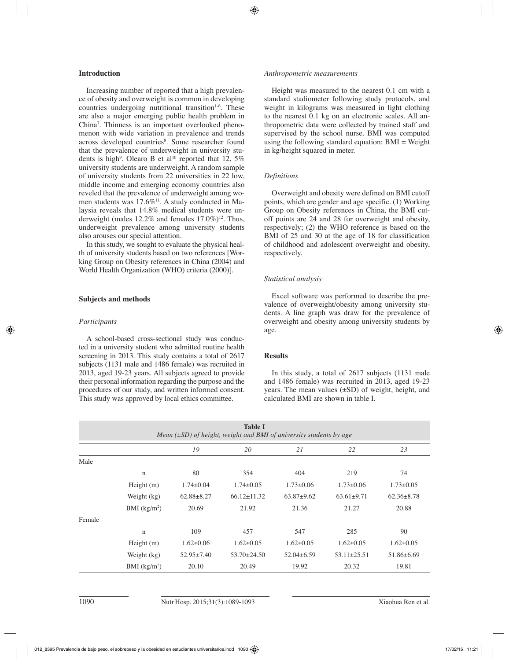# **Introduction**

Increasing number of reported that a high prevalence of obesity and overweight is common in developing countries undergoing nutritional transition<sup>1-6</sup>. These are also a major emerging public health problem in China7 . Thinness is an important overlooked phenomenon with wide variation in prevalence and trends across developed countries<sup>8</sup>. Some researcher found that the prevalence of underweight in university students is high<sup>9</sup>. Olearo B et al<sup>10</sup> reported that 12, 5% university students are underweight. A random sample of university students from 22 universities in 22 low, middle income and emerging economy countries also reveled that the prevalence of underweight among women students was 17.6%<sup>11</sup>. A study conducted in Malaysia reveals that 14.8% medical students were underweight (males  $12.2\%$  and females  $17.0\%$ )<sup>12</sup>. Thus, underweight prevalence among university students also arouses our special attention.

In this study, we sought to evaluate the physical health of university students based on two references [Working Group on Obesity references in China (2004) and World Health Organization (WHO) criteria (2000)].

# **Subjects and methods**

# *Participants*

A school-based cross-sectional study was conducted in a university student who admitted routine health screening in 2013. This study contains a total of 2617 subjects (1131 male and 1486 female) was recruited in 2013, aged 19-23 years. All subjects agreed to provide their personal information regarding the purpose and the procedures of our study, and written informed consent. This study was approved by local ethics committee.

#### *Anthropometric measurements*

Height was measured to the nearest 0.1 cm with a standard stadiometer following study protocols, and weight in kilograms was measured in light clothing to the nearest 0.1 kg on an electronic scales. All anthropometric data were collected by trained staff and supervised by the school nurse. BMI was computed using the following standard equation: BMI = Weight in kg/height squared in meter.

# *Definitions*

Overweight and obesity were defined on BMI cutoff points, which are gender and age specific. (1) Working Group on Obesity references in China, the BMI cutoff points are 24 and 28 for overweight and obesity, respectively; (2) the WHO reference is based on the BMI of 25 and 30 at the age of 18 for classification of childhood and adolescent overweight and obesity, respectively.

# *Statistical analysis*

Excel software was performed to describe the prevalence of overweight/obesity among university students. A line graph was draw for the prevalence of overweight and obesity among university students by age.

# **Results**

In this study, a total of 2617 subjects (1131 male and 1486 female) was recruited in 2013, aged 19-23 years. The mean values (±SD) of weight, height, and calculated BMI are shown in table I.

| <b>Table I</b><br>Mean $(\pm SD)$ of height, weight and BMI of university students by age |               |                  |                   |                  |                   |                  |  |  |  |  |  |
|-------------------------------------------------------------------------------------------|---------------|------------------|-------------------|------------------|-------------------|------------------|--|--|--|--|--|
|                                                                                           |               | 19               | 20                | 21               | 22                | 23               |  |  |  |  |  |
| Male                                                                                      |               |                  |                   |                  |                   |                  |  |  |  |  |  |
|                                                                                           | $\mathbf n$   | 80               | 354               | 404              | 219               | 74               |  |  |  |  |  |
|                                                                                           | Height $(m)$  | $1.74 \pm 0.04$  | $1.74\pm0.05$     | $1.73 \pm 0.06$  | $1.73 \pm 0.06$   | $1.73 \pm 0.05$  |  |  |  |  |  |
|                                                                                           | Weight (kg)   | $62.88 \pm 8.27$ | $66.12 \pm 11.32$ | $63.87+9.62$     | $63.61 \pm 9.71$  | $62.36 \pm 8.78$ |  |  |  |  |  |
|                                                                                           | BMI $(kg/m2)$ | 20.69            | 21.92             | 21.36            | 21.27             | 20.88            |  |  |  |  |  |
| Female                                                                                    |               |                  |                   |                  |                   |                  |  |  |  |  |  |
|                                                                                           | $\mathbf n$   | 109              | 457               | 547              | 285               | 90               |  |  |  |  |  |
|                                                                                           | Height $(m)$  | $1.62 \pm 0.06$  | $1.62 \pm 0.05$   | $1.62 \pm 0.05$  | $1.62 \pm 0.05$   | $1.62 \pm 0.05$  |  |  |  |  |  |
|                                                                                           | Weight (kg)   | $52.95 \pm 7.40$ | $53.70 \pm 24.50$ | $52.04 \pm 6.59$ | $53.11 \pm 25.51$ | $51.86 \pm 6.69$ |  |  |  |  |  |
|                                                                                           | BMI $(kg/m2)$ | 20.10            | 20.49             | 19.92            | 20.32             | 19.81            |  |  |  |  |  |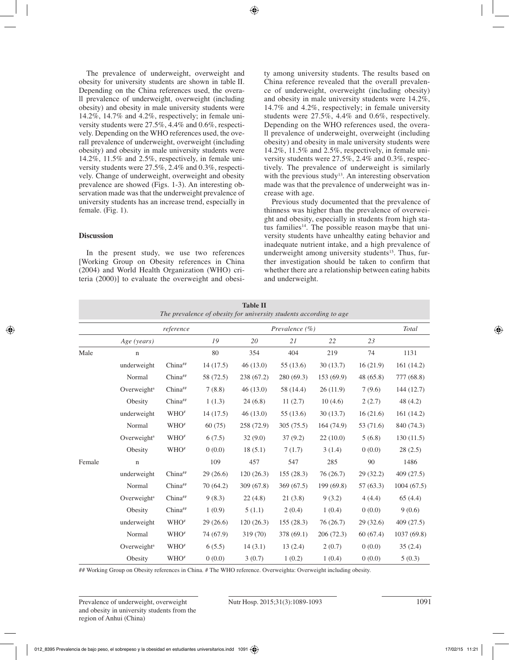The prevalence of underweight, overweight and obesity for university students are shown in table II. Depending on the China references used, the overall prevalence of underweight, overweight (including obesity) and obesity in male university students were 14.2%, 14.7% and 4.2%, respectively; in female university students were 27.5%, 4.4% and 0.6%, respectively. Depending on the WHO references used, the overall prevalence of underweight, overweight (including obesity) and obesity in male university students were 14.2%, 11.5% and 2.5%, respectively, in female university students were 27.5%, 2.4% and 0.3%, respectively. Change of underweight, overweight and obesity prevalence are showed (Figs. 1-3). An interesting observation made was that the underweight prevalence of university students has an increase trend, especially in female. (Fig. 1).

# **Discussion**

In the present study, we use two references [Working Group on Obesity references in China (2004) and World Health Organization (WHO) criteria (2000)] to evaluate the overweight and obesity among university students. The results based on China reference revealed that the overall prevalence of underweight, overweight (including obesity) and obesity in male university students were 14.2%, 14.7% and 4.2%, respectively; in female university students were 27.5%, 4.4% and 0.6%, respectively. Depending on the WHO references used, the overall prevalence of underweight, overweight (including obesity) and obesity in male university students were 14.2%, 11.5% and 2.5%, respectively, in female university students were 27.5%, 2.4% and 0.3%, respectively. The prevalence of underweight is similarly with the previous study<sup>13</sup>. An interesting observation made was that the prevalence of underweight was increase with age.

Previous study documented that the prevalence of thinness was higher than the prevalence of overweight and obesity, especially in students from high status families<sup>14</sup>. The possible reason maybe that university students have unhealthy eating behavior and inadequate nutrient intake, and a high prevalence of underweight among university students<sup>15</sup>. Thus, further investigation should be taken to confirm that whether there are a relationship between eating habits and underweight.

| <b>Table II</b><br>The prevalence of obesity for university students according to age |                         |                  |           |                    |           |           |           |            |  |  |  |
|---------------------------------------------------------------------------------------|-------------------------|------------------|-----------|--------------------|-----------|-----------|-----------|------------|--|--|--|
|                                                                                       | reference               |                  |           | Prevalence $(\% )$ |           |           |           | Total      |  |  |  |
|                                                                                       | Age (years)             |                  | 19        | 20                 | 21        | 22        | 23        |            |  |  |  |
| Male                                                                                  | $\mathbf n$             |                  | 80        | 354                | 404       | 219       | 74        | 1131       |  |  |  |
|                                                                                       | underweight             | China##          | 14(17.5)  | 46(13.0)           | 55 (13.6) | 30(13.7)  | 16(21.9)  | 161(14.2)  |  |  |  |
|                                                                                       | Normal                  | China##          | 58 (72.5) | 238 (67.2)         | 280(69.3) | 153(69.9) | 48 (65.8) | 777 (68.8) |  |  |  |
|                                                                                       | Overweight <sup>a</sup> | China##          | 7(8.8)    | 46(13.0)           | 58 (14.4) | 26(11.9)  | 7(9.6)    | 144(12.7)  |  |  |  |
|                                                                                       | Obesity                 | China##          | 1(1.3)    | 24(6.8)            | 11(2.7)   | 10(4.6)   | 2(2.7)    | 48 (4.2)   |  |  |  |
|                                                                                       | underweight             | WHO <sup>#</sup> | 14(17.5)  | 46(13.0)           | 55 (13.6) | 30(13.7)  | 16(21.6)  | 161(14.2)  |  |  |  |
|                                                                                       | Normal                  | WHO <sup>#</sup> | 60(75)    | 258 (72.9)         | 305(75.5) | 164(74.9) | 53 (71.6) | 840 (74.3) |  |  |  |
|                                                                                       | Overweight <sup>a</sup> | $WHO*$           | 6(7.5)    | 32(9.0)            | 37(9.2)   | 22(10.0)  | 5(6.8)    | 130(11.5)  |  |  |  |
|                                                                                       | Obesity                 | WHO <sup>#</sup> | 0(0.0)    | 18(5.1)            | 7(1.7)    | 3(1.4)    | 0(0.0)    | 28(2.5)    |  |  |  |
| Female                                                                                | $\mathbf n$             |                  | 109       | 457                | 547       | 285       | 90        | 1486       |  |  |  |
|                                                                                       | underweight             | China##          | 29(26.6)  | 120(26.3)          | 155(28.3) | 76(26.7)  | 29 (32.2) | 409(27.5)  |  |  |  |
|                                                                                       | Normal                  | China##          | 70(64.2)  | 309 (67.8)         | 369(67.5) | 199(69.8) | 57(63.3)  | 1004(67.5) |  |  |  |
|                                                                                       | Overweight <sup>a</sup> | China##          | 9(8.3)    | 22(4.8)            | 21(3.8)   | 9(3.2)    | 4(4.4)    | 65(4.4)    |  |  |  |
|                                                                                       | Obesity                 | China##          | 1(0.9)    | 5(1.1)             | 2(0.4)    | 1(0.4)    | 0(0.0)    | 9(0.6)     |  |  |  |
|                                                                                       | underweight             | $WHO*$           | 29(26.6)  | 120(26.3)          | 155(28.3) | 76(26.7)  | 29(32.6)  | 409(27.5)  |  |  |  |
|                                                                                       | Normal                  | $WHO*$           | 74 (67.9) | 319 (70)           | 378(69.1) | 206(72.3) | 60(67.4)  | 1037(69.8) |  |  |  |
|                                                                                       | Overweight <sup>a</sup> | $WHO*$           | 6(5.5)    | 14(3.1)            | 13(2.4)   | 2(0.7)    | 0(0.0)    | 35(2.4)    |  |  |  |
|                                                                                       | Obesity                 | WHO <sup>#</sup> | 0(0.0)    | 3(0.7)             | 1(0.2)    | 1(0.4)    | 0(0.0)    | 5(0.3)     |  |  |  |

## Working Group on Obesity references in China. # The WHO reference. Overweighta: Overweight including obesity.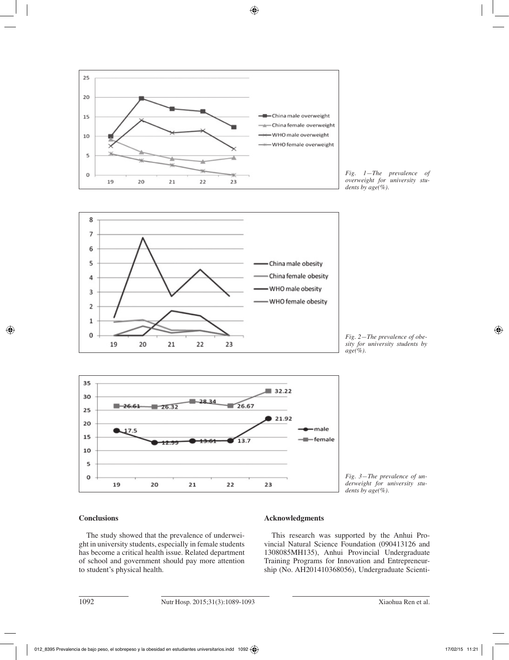

*Fig. 1—The prevalence of overweight for university students by age(%).*



*Fig. 2—The prevalence of obesity for university students by age(%).*



*Fig. 3—The prevalence of underweight for university students by age(%).*

# **Conclusions**

The study showed that the prevalence of underweight in university students, especially in female students has become a critical health issue. Related department of school and government should pay more attention to student's physical health.

# **Acknowledgments**

This research was supported by the Anhui Provincial Natural Science Foundation (090413126 and 1308085MH135), Anhui Provincial Undergraduate Training Programs for Innovation and Entrepreneurship (No. AH201410368056), Undergraduate Scienti